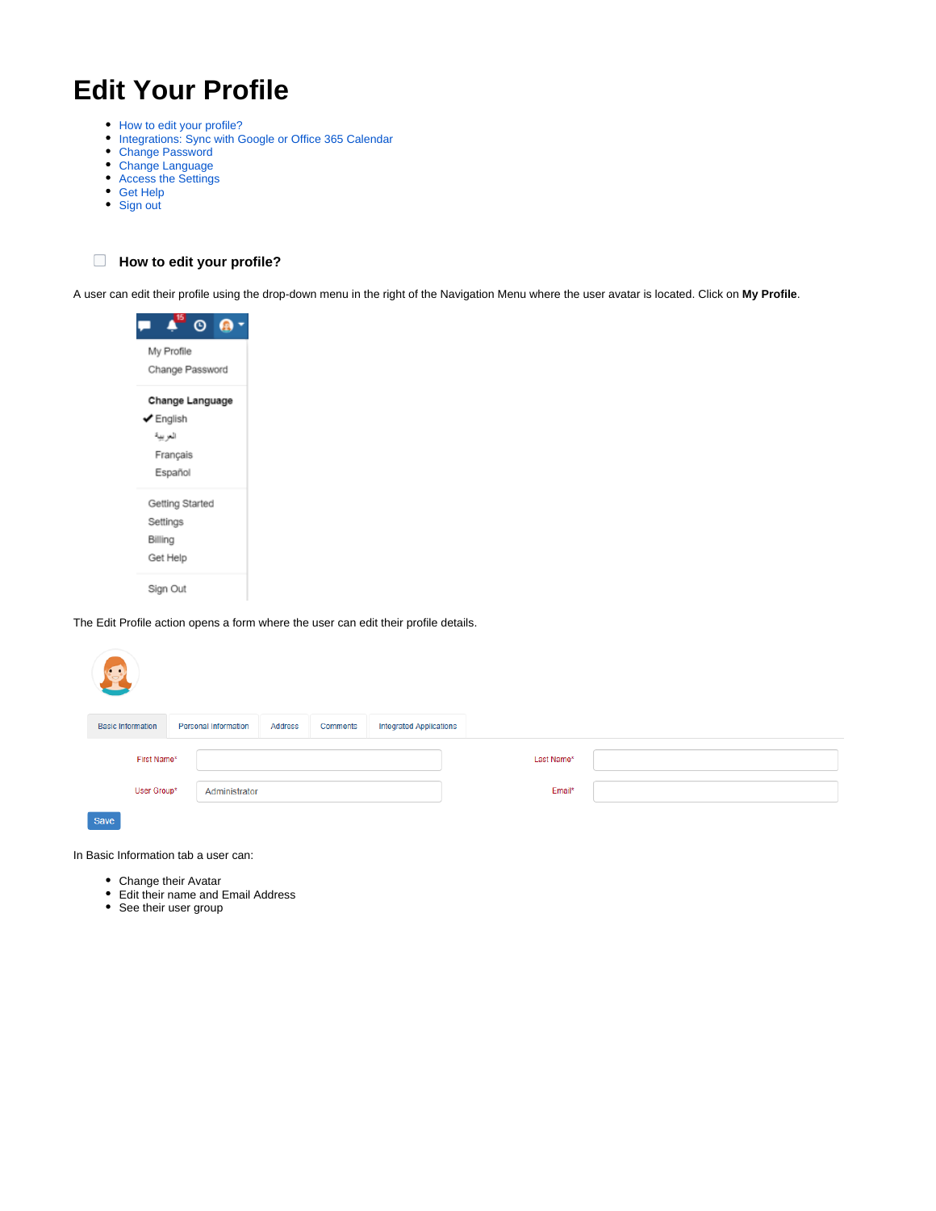# **Edit Your Profile**

- [How to edit your profile?](https://documentation.app4legal.com/display/A4L/Edit+Your+Profile#EditYourProfile-Howtoedityourprofile?)
- [Integrations: Sync with Google or Office 365 Calendar](https://documentation.app4legal.com/display/A4L/Edit+Your+Profile#EditYourProfile-Integrations:SyncwithGoogleorOffice365Calendar)
- [Change Password](https://documentation.app4legal.com/display/A4L/Edit+Your+Profile#EditYourProfile-ChangePassword)
- [Change Language](https://documentation.app4legal.com/display/A4L/Edit+Your+Profile#EditYourProfile-ChangeLanguage)
- [Access the Settings](https://documentation.app4legal.com/display/A4L/Edit+Your+Profile#EditYourProfile-AccesstheAdmin&Setup)
- [Get Help](https://documentation.app4legal.com/display/A4L/Edit+Your+Profile#EditYourProfile-GetHelp)
- [Sign out](https://documentation.app4legal.com/display/A4L/Edit+Your+Profile#EditYourProfile-Signout)

**How to edit your profile?**

A user can edit their profile using the drop-down menu in the right of the Navigation Menu where the user avatar is located. Click on **My Profile**.



The Edit Profile action opens a form where the user can edit their profile details.

| <b>Basic Information</b>     | <b>Personal Information</b> | Address | <b>Comments</b> | <b>Integrated Applications</b> |            |  |
|------------------------------|-----------------------------|---------|-----------------|--------------------------------|------------|--|
| First Name*                  |                             |         |                 |                                | Last Name* |  |
| User Group*<br>Administrator |                             |         |                 |                                | Email*     |  |
| Save                         |                             |         |                 |                                |            |  |

In Basic Information tab a user can:

- Change their Avatar
- Edit their name and Email Address
- See their user group